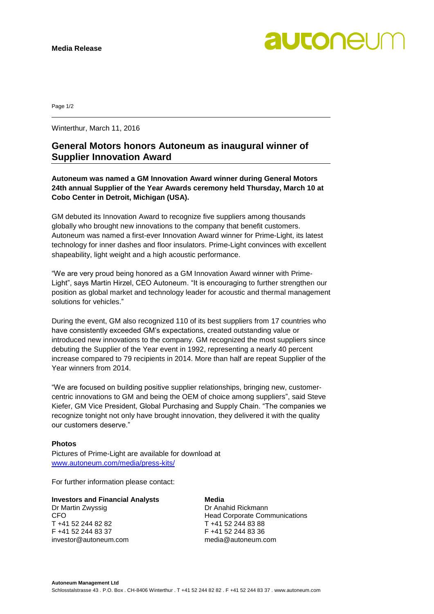

Page 1/2

Winterthur, March 11, 2016

# **General Motors honors Autoneum as inaugural winner of Supplier Innovation Award**

**Autoneum was named a GM Innovation Award winner during General Motors 24th annual Supplier of the Year Awards ceremony held Thursday, March 10 at Cobo Center in Detroit, Michigan (USA).**

GM debuted its Innovation Award to recognize five suppliers among thousands globally who brought new innovations to the company that benefit customers. Autoneum was named a first-ever Innovation Award winner for Prime-Light, its latest technology for inner dashes and floor insulators. Prime-Light convinces with excellent shapeability, light weight and a high acoustic performance.

"We are very proud being honored as a GM Innovation Award winner with Prime-Light", says Martin Hirzel, CEO Autoneum. "It is encouraging to further strengthen our position as global market and technology leader for acoustic and thermal management solutions for vehicles."

During the event, GM also recognized 110 of its best suppliers from 17 countries who have consistently exceeded GM's expectations, created outstanding value or introduced new innovations to the company. GM recognized the most suppliers since debuting the Supplier of the Year event in 1992, representing a nearly 40 percent increase compared to 79 recipients in 2014. More than half are repeat Supplier of the Year winners from 2014.

"We are focused on building positive supplier relationships, bringing new, customercentric innovations to GM and being the OEM of choice among suppliers", said Steve Kiefer, GM Vice President, Global Purchasing and Supply Chain. "The companies we recognize tonight not only have brought innovation, they delivered it with the quality our customers deserve."

## **Photos**

Pictures of Prime-Light are available for download at [www.autoneum.com/media/press-kits/](http://www.autoneum.com/media/press-kits/)

For further information please contact:

# **Investors and Financial Analysts Media**

Dr Martin Zwyssig **Dr Anahid Rickmann** T +41 52 244 82 82 T +41 52 244 83 88 F +41 52 244 83 37 F +41 52 244 83 36 investor@autoneum.com media@autoneum.com

CFO Head Corporate Communications